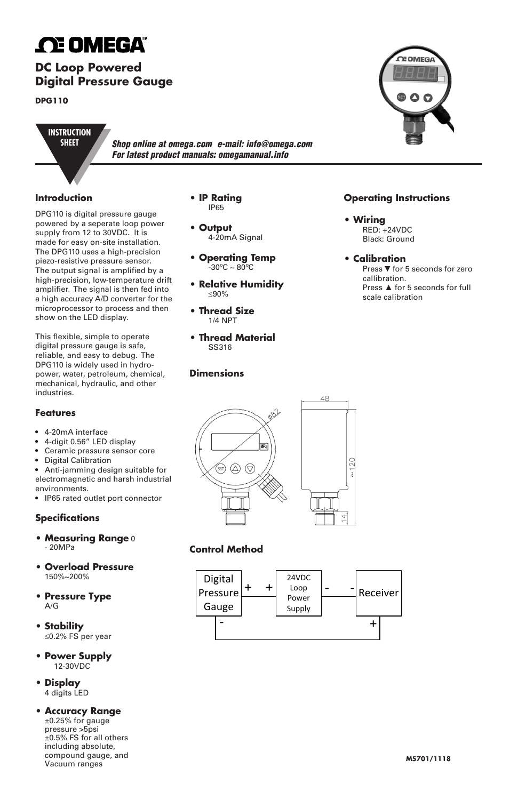# **OE OMEGA**

### **DC Loop Powered Digital Pressure Gauge**

**DPG110**

# **Introduction**

**INSTRUCTION**

DPG110 is digital pressure gauge powered by a seperate loop power supply from 12 to 30VDC. It is made for easy on-site installation. The DPG110 uses a high-precision piezo-resistive pressure sensor. The output signal is amplified by a high-precision, low-temperature drift amplifier. The signal is then fed into a high accuracy A/D converter for the microprocessor to process and then show on the LED display.

This flexible, simple to operate digital pressure gauge is safe, reliable, and easy to debug. The DPG110 is widely used in hydropower, water, petroleum, chemical, mechanical, hydraulic, and other industries.

#### **Features**

- 4-20mA interface
- 4-digit 0.56" LED display
- Ceramic pressure sensor core
- Digital Calibration
- Anti-jamming design suitable for electromagnetic and harsh industrial environments.
- IP65 rated outlet port connector

#### **Specifications**

- **Measuring Range** 0 - 20MPa
- **• Overload Pressure** 150%~200%
- **Pressure Type**  $A/G$
- **Stability** ≤0.2% FS per year
- **Power Supply** 12-30VDC

**• Display** 4 digits LED

**• Accuracy Range**

±0.25% for gauge pressure >5psi ±0.5% FS for all others including absolute, compound gauge, and Vacuum ranges

**• IP Rating** IP65

**SHEET** *Shop online at omega.com e-mail: info@omega.com For latest product manuals: omegamanual.info*

- **• Output** 4-20mA Signal
- **• Operating Temp**  $-30^{\circ}$ C ~  $80^{\circ}$ C
- **• Relative Humidity** ≤90%
- **• Thread Size** 1/4 NPT
- **• Thread Material** SS316

#### **Dimensions**

# .<br>CE OMEGA  $\Omega$

#### **Operating Instructions**

**• Wiring** RED: +24VDC Black: Ground

#### **• Calibration**

Press ▼for 5 seconds for zero callibration. Press ▲ for 5 seconds for full scale calibration



#### **Control Method**

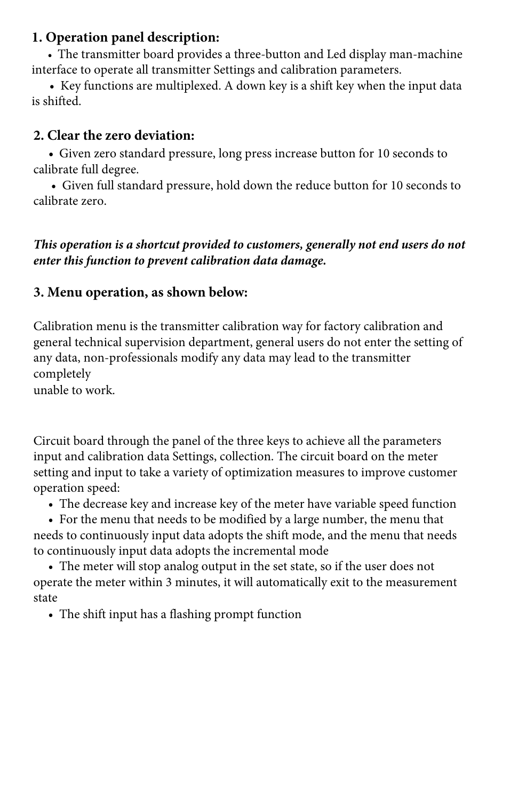## **1. Operation panel description:**

 • The transmitter board provides a three-button and Led display man-machine interface to operate all transmitter Settings and calibration parameters.

 • Key functions are multiplexed. A down key is a shift key when the input data is shifted.

# **2. Clear the zero deviation:**

 **•** Given zero standard pressure, long press increase button for 10 seconds to calibrate full degree.

 • Given full standard pressure, hold down the reduce button for 10 seconds to calibrate zero.

## *This operation is a shortcut provided to customers, generally not end users do not enter this function to prevent calibration data damage.*

# **3. Menu operation, as shown below:**

Calibration menu is the transmitter calibration way for factory calibration and general technical supervision department, general users do not enter the setting of any data, non-professionals modify any data may lead to the transmitter completely

unable to work.

Circuit board through the panel of the three keys to achieve all the parameters input and calibration data Settings, collection. The circuit board on the meter setting and input to take a variety of optimization measures to improve customer operation speed:

• The decrease key and increase key of the meter have variable speed function

 • For the menu that needs to be modified by a large number, the menu that needs to continuously input data adopts the shift mode, and the menu that needs to continuously input data adopts the incremental mode

 • The meter will stop analog output in the set state, so if the user does not operate the meter within 3 minutes, it will automatically exit to the measurement state

• The shift input has a flashing prompt function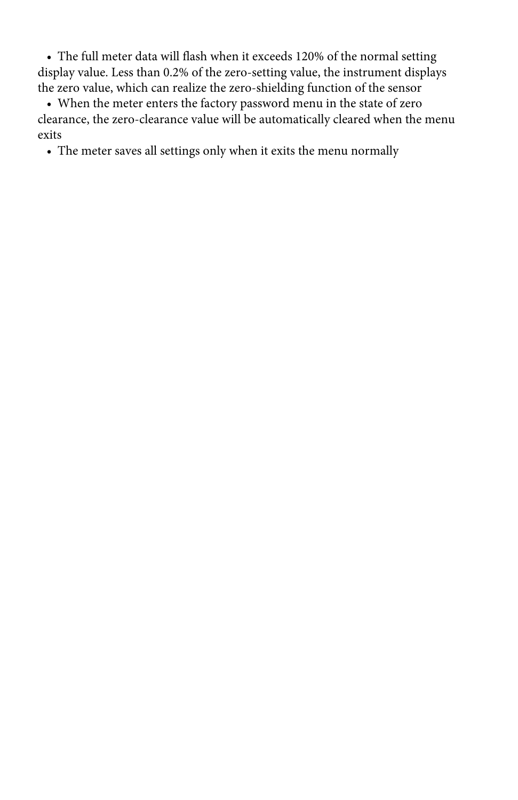• The full meter data will flash when it exceeds 120% of the normal setting display value. Less than 0.2% of the zero-setting value, the instrument displays the zero value, which can realize the zero-shielding function of the sensor

 • When the meter enters the factory password menu in the state of zero clearance, the zero-clearance value will be automatically cleared when the menu exits

• The meter saves all settings only when it exits the menu normally